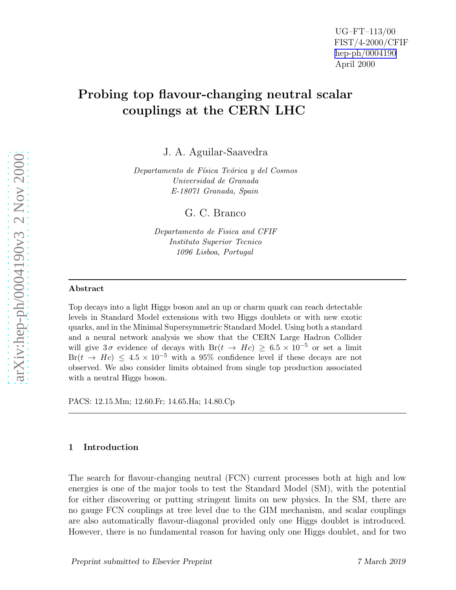# Probing top flavour-changing neutral scalar couplings at the CERN LHC

J. A. Aguilar-Saavedra

Departamento de Física Teórica y del Cosmos Universidad de Granada E-18071 Granada, Spain

G. C. Branco

Departamento de Fisica and CFIF Instituto Superior Tecnico 1096 Lisboa, Portugal

### Abstract

Top decays into a light Higgs boson and an up or charm quark can reach detectable levels in Standard Model extensions with two Higgs doublets or with new exotic quarks, and in the Minimal Supersymmetric Standard Model. Using both a standard and a neural network analysis we show that the CERN Large Hadron Collider will give  $3\sigma$  evidence of decays with  $Br(t \to Hc) \geq 6.5 \times 10^{-5}$  or set a limit  $Br(t \rightarrow Hc) \leq 4.5 \times 10^{-5}$  with a 95% confidence level if these decays are not observed. We also consider limits obtained from single top production associated with a neutral Higgs boson.

PACS: 12.15.Mm; 12.60.Fr; 14.65.Ha; 14.80.Cp

## 1 Introduction

The search for flavour-changing neutral (FCN) current processes both at high and low energies is one of the major tools to test the Standard Model (SM), with the potential for either discovering or putting stringent limits on new physics. In the SM, there are no gauge FCN couplings at tree level due to the GIM mechanism, and scalar couplings are also automatically flavour-diagonal provided only one Higgs doublet is introduced. However, there is no fundamental reason for having only one Higgs doublet, and for two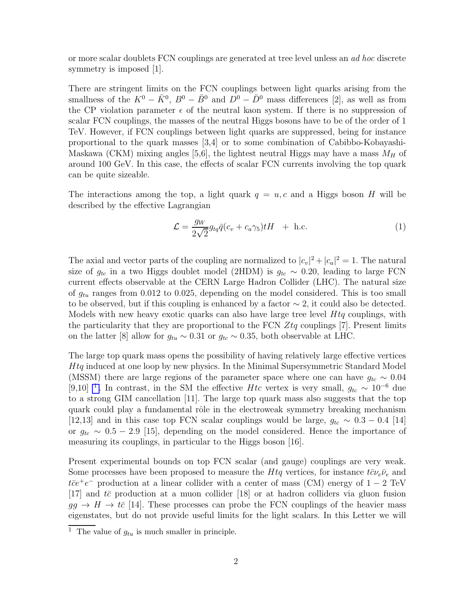or more scalar doublets FCN couplings are generated at tree level unless an ad hoc discrete symmetry is imposed [1].

There are stringent limits on the FCN couplings between light quarks arising from the smallness of the  $K^0 - \bar{K}^0$ ,  $B^0 - \bar{B}^0$  and  $D^0 - \bar{D}^0$  mass differences [2], as well as from the CP violation parameter  $\epsilon$  of the neutral kaon system. If there is no suppression of scalar FCN couplings, the masses of the neutral Higgs bosons have to be of the order of 1 TeV. However, if FCN couplings between light quarks are suppressed, being for instance proportional to the quark masses [3,4] or to some combination of Cabibbo-Kobayashi-Maskawa (CKM) mixing angles [5,6], the lightest neutral Higgs may have a mass  $M_H$  of around 100 GeV. In this case, the effects of scalar FCN currents involving the top quark can be quite sizeable.

The interactions among the top, a light quark  $q = u, c$  and a Higgs boson H will be described by the effective Lagrangian

$$
\mathcal{L} = \frac{g_W}{2\sqrt{2}} g_{tq} \bar{q} (c_v + c_a \gamma_5) tH + \text{h.c.}
$$
 (1)

The axial and vector parts of the coupling are normalized to  $|c_v|^2 + |c_a|^2 = 1$ . The natural size of  $g_{tc}$  in a two Higgs doublet model (2HDM) is  $g_{tc} \sim 0.20$ , leading to large FCN current effects observable at the CERN Large Hadron Collider (LHC). The natural size of  $g_{tu}$  ranges from 0.012 to 0.025, depending on the model considered. This is too small to be observed, but if this coupling is enhanced by a factor  $\sim$  2, it could also be detected. Models with new heavy exotic quarks can also have large tree level  $Htq$  couplings, with the particularity that they are proportional to the FCN  $Z_tq$  couplings [7]. Present limits on the latter [8] allow for  $g_{tu} \sim 0.31$  or  $g_{tc} \sim 0.35$ , both observable at LHC.

The large top quark mass opens the possibility of having relatively large effective vertices Htq induced at one loop by new physics. In the Minimal Supersymmetric Standard Model (MSSM) there are large regions of the parameter space where one can have  $g_{tc} \sim 0.04$ [9,10]<sup>1</sup>. In contrast, in the SM the effective Htc vertex is very small,  $g_{tc} \sim 10^{-6}$  due to a strong GIM cancellation [11]. The large top quark mass also suggests that the top quark could play a fundamental rôle in the electroweak symmetry breaking mechanism [12,13] and in this case top FCN scalar couplings would be large,  $g_{tc} \sim 0.3 - 0.4$  [14] or  $g_{tc} \sim 0.5 - 2.9$  [15], depending on the model considered. Hence the importance of measuring its couplings, in particular to the Higgs boson [16].

Present experimental bounds on top FCN scalar (and gauge) couplings are very weak. Some processes have been proposed to measure the Htq vertices, for instance  $t\bar{c}\nu_e\bar{\nu}_e$  and  $t\bar{e}$  production at a linear collider with a center of mass (CM) energy of 1 − 2 TeV [17] and  $t\bar{c}$  production at a muon collider [18] or at hadron colliders via gluon fusion  $gg \to H \to t\bar{c}$  [14]. These processes can probe the FCN couplings of the heavier mass eigenstates, but do not provide useful limits for the light scalars. In this Letter we will

<sup>&</sup>lt;sup>1</sup> The value of  $g_{tu}$  is much smaller in principle.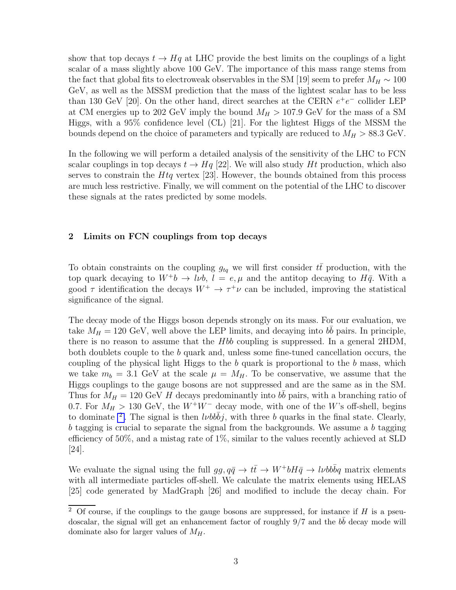show that top decays  $t \to Hq$  at LHC provide the best limits on the couplings of a light scalar of a mass slightly above 100 GeV. The importance of this mass range stems from the fact that global fits to electroweak observables in the SM [19] seem to prefer  $M_H \sim 100$ GeV, as well as the MSSM prediction that the mass of the lightest scalar has to be less than 130 GeV [20]. On the other hand, direct searches at the CERN  $e^+e^-$  collider LEP at CM energies up to 202 GeV imply the bound  $M_H > 107.9$  GeV for the mass of a SM Higgs, with a 95% confidence level (CL) [21]. For the lightest Higgs of the MSSM the bounds depend on the choice of parameters and typically are reduced to  $M_H > 88.3$  GeV.

In the following we will perform a detailed analysis of the sensitivity of the LHC to FCN scalar couplings in top decays  $t \to Hq$  [22]. We will also study Ht production, which also serves to constrain the  $Htq$  vertex [23]. However, the bounds obtained from this process are much less restrictive. Finally, we will comment on the potential of the LHC to discover these signals at the rates predicted by some models.

## 2 Limits on FCN couplings from top decays

To obtain constraints on the coupling  $g_{tq}$  we will first consider  $t\bar{t}$  production, with the top quark decaying to  $W^+b \to l\nu b$ ,  $l = e, \mu$  and the antitop decaying to  $H\bar{q}$ . With a good  $\tau$  identification the decays  $W^+ \to \tau^+\nu$  can be included, improving the statistical significance of the signal.

The decay mode of the Higgs boson depends strongly on its mass. For our evaluation, we take  $M_H = 120 \text{ GeV}$ , well above the LEP limits, and decaying into  $b\bar{b}$  pairs. In principle, there is no reason to assume that the Hbb coupling is suppressed. In a general 2HDM, both doublets couple to the b quark and, unless some fine-tuned cancellation occurs, the coupling of the physical light Higgs to the b quark is proportional to the b mass, which we take  $m_b = 3.1$  GeV at the scale  $\mu = M_H$ . To be conservative, we assume that the Higgs couplings to the gauge bosons are not suppressed and are the same as in the SM. Thus for  $M_H = 120 \text{ GeV } H$  decays predominantly into  $b\bar{b}$  pairs, with a branching ratio of 0.7. For  $M_H > 130$  GeV, the  $W^+W^-$  decay mode, with one of the W's off-shell, begins to dominate <sup>2</sup>. The signal is then  $l\nu bb\bar{b}j$ , with three b quarks in the final state. Clearly,  $b$  tagging is crucial to separate the signal from the backgrounds. We assume a  $b$  tagging efficiency of 50%, and a mistag rate of 1%, similar to the values recently achieved at SLD [24].

We evaluate the signal using the full  $gg, q\bar{q} \to t\bar{t} \to W^+bH\bar{q} \to l\nu bb\bar{b}q$  matrix elements with all intermediate particles off-shell. We calculate the matrix elements using HELAS [25] code generated by MadGraph [26] and modified to include the decay chain. For

<sup>&</sup>lt;sup>2</sup> Of course, if the couplings to the gauge bosons are suppressed, for instance if  $H$  is a pseudoscalar, the signal will get an enhancement factor of roughly  $9/7$  and the  $b\bar{b}$  decay mode will dominate also for larger values of  $M_H$ .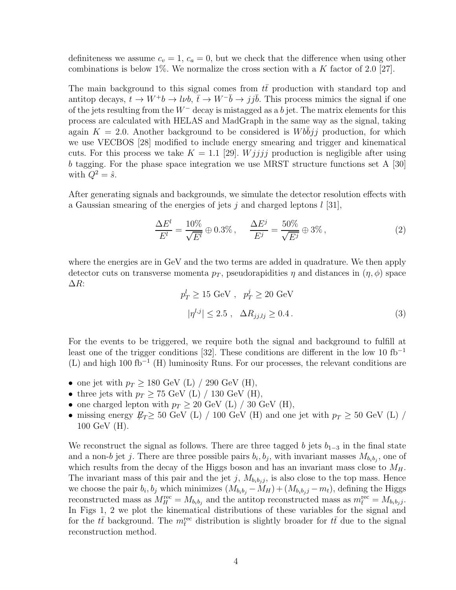definiteness we assume  $c_v = 1$ ,  $c_a = 0$ , but we check that the difference when using other combinations is below 1%. We normalize the cross section with a K factor of 2.0 [27].

The main background to this signal comes from  $t\bar{t}$  production with standard top and antitop decays,  $t \to W^+b \to l\nu b$ ,  $\bar{t} \to W^-\bar{b} \to j\bar{j}\bar{b}$ . This process mimics the signal if one of the jets resulting from the  $W^-$  decay is mistagged as a b jet. The matrix elements for this process are calculated with HELAS and MadGraph in the same way as the signal, taking again  $K = 2.0$ . Another background to be considered is *Wbbjj* production, for which we use VECBOS [28] modified to include energy smearing and trigger and kinematical cuts. For this process we take  $K = 1.1$  [29]. *Wjjjj* production is negligible after using b tagging. For the phase space integration we use MRST structure functions set A [30] with  $Q^2 = \hat{s}$ .

After generating signals and backgrounds, we simulate the detector resolution effects with a Gaussian smearing of the energies of jets j and charged leptons  $l$  [31],

$$
\frac{\Delta E^l}{E^l} = \frac{10\%}{\sqrt{E^l}} \oplus 0.3\%, \quad \frac{\Delta E^j}{E^j} = \frac{50\%}{\sqrt{E^j}} \oplus 3\%,\tag{2}
$$

where the energies are in GeV and the two terms are added in quadrature. We then apply detector cuts on transverse momenta  $p<sub>T</sub>$ , pseudorapidities  $\eta$  and distances in  $(\eta, \phi)$  space ∆R:

$$
p_T^l \ge 15 \text{ GeV} , p_T^j \ge 20 \text{ GeV}
$$
  

$$
|\eta^{l,j}| \le 2.5 , \Delta R_{jj,lj} \ge 0.4.
$$
 (3)

For the events to be triggered, we require both the signal and background to fulfill at least one of the trigger conditions [32]. These conditions are different in the low 10 fb<sup>-1</sup>  $(L)$  and high 100 fb<sup>-1</sup> (H) luminosity Runs. For our processes, the relevant conditions are

- one jet with  $p_T \geq 180 \text{ GeV (L)} / 290 \text{ GeV (H)},$
- three jets with  $p_T \geq 75$  GeV (L) / 130 GeV (H),
- one charged lepton with  $p_T \geq 20$  GeV (L) / 30 GeV (H),
- missing energy  $E_T \geq 50$  GeV (L) / 100 GeV (H) and one jet with  $p_T \geq 50$  GeV (L) / 100 GeV (H).

We reconstruct the signal as follows. There are three tagged b jets  $b_{1-3}$  in the final state and a non-b jet j. There are three possible pairs  $b_i, b_j$ , with invariant masses  $M_{b_i b_j}$ , one of which results from the decay of the Higgs boson and has an invariant mass close to  $M_H$ . The invariant mass of this pair and the jet j,  $M_{b_i b_j j}$ , is also close to the top mass. Hence we choose the pair  $b_i, b_j$  which minimizes  $(M_{b_i b_j} - M_H) + (M_{b_i b_j j} - m_t)$ , defining the Higgs reconstructed mass as  $M_H^{\text{rec}} = M_{b_i b_j}$  and the antitop reconstructed mass as  $m_{\bar{t}}^{\text{rec}} = M_{b_i b_j j}$ . In Figs 1, 2 we plot the kinematical distributions of these variables for the signal and for the  $t\bar{t}$  background. The  $m_{\bar{t}}^{\text{rec}}$  distribution is slightly broader for  $t\bar{t}$  due to the signal reconstruction method.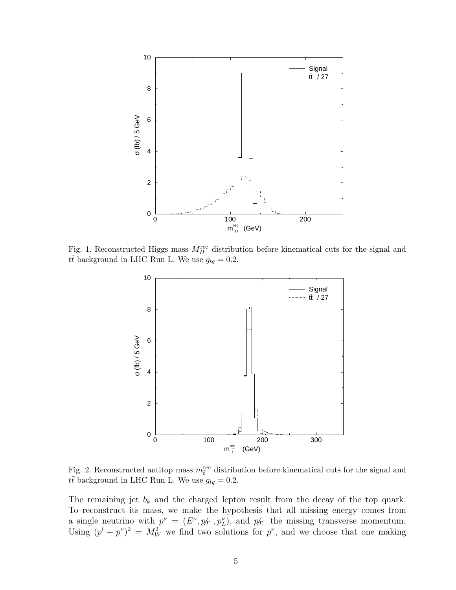

Fig. 1. Reconstructed Higgs mass  $M_H^{\text{rec}}$  distribution before kinematical cuts for the signal and  $t\bar{t}$  background in LHC Run L. We use  $g_{tq} = 0.2$ .



Fig. 2. Reconstructed antitop mass  $m_{\bar{t}}^{\text{rec}}$  distribution before kinematical cuts for the signal and  $t\bar{t}$  background in LHC Run L. We use  $g_{tq} = 0.2$ .

The remaining jet  $b_k$  and the charged lepton result from the decay of the top quark. To reconstruct its mass, we make the hypothesis that all missing energy comes from a single neutrino with  $p^{\nu} = (E^{\nu}, p_T, p_L^{\nu})$ , and  $p_T$  the missing transverse momentum. Using  $(p^l + p^{\nu})^2 = M_W^2$  we find two solutions for  $p^{\nu}$ , and we choose that one making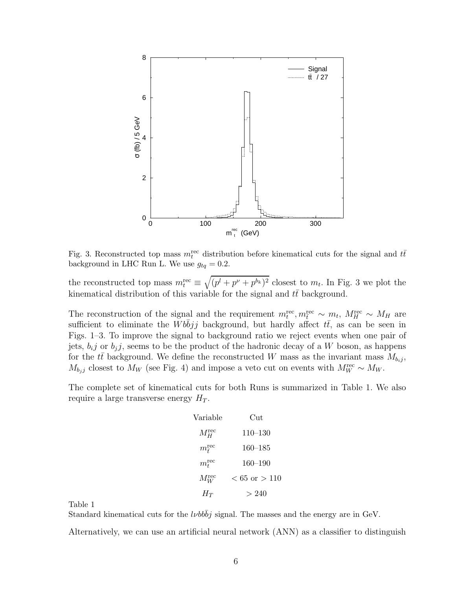

Fig. 3. Reconstructed top mass  $m_t^{\text{rec}}$  distribution before kinematical cuts for the signal and  $t\bar{t}$ background in LHC Run L. We use  $g_{tq} = 0.2$ .

the reconstructed top mass  $m_t^{\text{rec}} \equiv \sqrt{(p^l + p^\nu + p^{b_k})^2}$  closest to  $m_t$ . In Fig. 3 we plot the kinematical distribution of this variable for the signal and  $t\bar{t}$  background.

The reconstruction of the signal and the requirement  $m_t^{\text{rec}}, m_t^{\text{rec}} \sim m_t$ ,  $M_H^{\text{rec}} \sim M_H$  are sufficient to eliminate the Wbbjj background, but hardly affect  $t\bar{t}$ , as can be seen in Figs. 1–3. To improve the signal to background ratio we reject events when one pair of jets,  $b_{i}j$  or  $b_{j}j$ , seems to be the product of the hadronic decay of a W boson, as happens for the  $t\bar{t}$  background. We define the reconstructed W mass as the invariant mass  $M_{b_{ij}}$ ,  $M_{b_j j}$  closest to  $M_W$  (see Fig. 4) and impose a veto cut on events with  $M_W^{\text{rec}} \sim M_W$ .

The complete set of kinematical cuts for both Runs is summarized in Table 1. We also require a large transverse energy  $H_T$ .

| Variable               | Cut                      |
|------------------------|--------------------------|
| $M_H^\mathrm{rec}$     | $110 - 130$              |
| $m_{\bar t}^{\rm rec}$ | $160 - 185$              |
| $m_t^{\text{rec}}$     | $160 - 190$              |
| $M_W^{\rm rec}$        | $< 65 \text{ or } > 110$ |
| $H_{T}$                | >240                     |

Table 1

Standard kinematical cuts for the  $l\nu bb\bar{b}j$  signal. The masses and the energy are in GeV.

Alternatively, we can use an artificial neural network (ANN) as a classifier to distinguish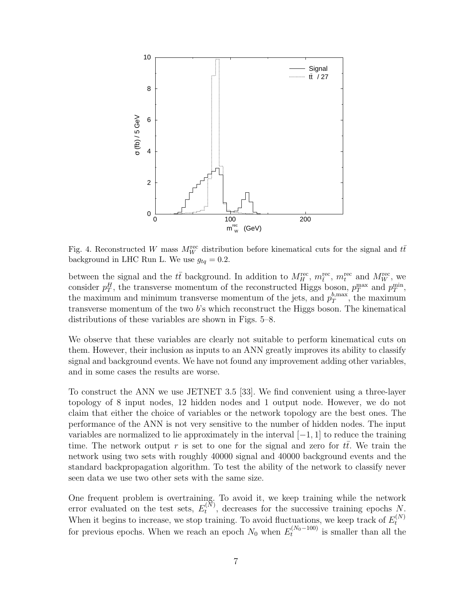

Fig. 4. Reconstructed W mass  $M_W^{\text{rec}}$  distribution before kinematical cuts for the signal and  $t\bar{t}$ background in LHC Run L. We use  $g_{tq} = 0.2$ .

between the signal and the  $t\bar{t}$  background. In addition to  $M_H^{\text{rec}}$ ,  $m_t^{\text{rec}}$ ,  $m_t^{\text{rec}}$  and  $M_W^{\text{rec}}$ , we consider  $p_T^H$ , the transverse momentum of the reconstructed Higgs boson,  $p_T^{\text{max}}$  and  $p_T^{\text{min}}$ , the maximum and minimum transverse momentum of the jets, and  $p_T^{b,\max}$  $T^{\text{o,max}}$ , the maximum transverse momentum of the two b's which reconstruct the Higgs boson. The kinematical distributions of these variables are shown in Figs. 5–8.

We observe that these variables are clearly not suitable to perform kinematical cuts on them. However, their inclusion as inputs to an ANN greatly improves its ability to classify signal and background events. We have not found any improvement adding other variables, and in some cases the results are worse.

To construct the ANN we use JETNET 3.5 [33]. We find convenient using a three-layer topology of 8 input nodes, 12 hidden nodes and 1 output node. However, we do not claim that either the choice of variables or the network topology are the best ones. The performance of the ANN is not very sensitive to the number of hidden nodes. The input variables are normalized to lie approximately in the interval  $[-1, 1]$  to reduce the training time. The network output r is set to one for the signal and zero for tt. We train the network using two sets with roughly 40000 signal and 40000 background events and the standard backpropagation algorithm. To test the ability of the network to classify never seen data we use two other sets with the same size.

One frequent problem is overtraining. To avoid it, we keep training while the network error evaluated on the test sets,  $E_t^{(\tilde{N})}$  $t^{(N)}$ , decreases for the successive training epochs N. When it begins to increase, we stop training. To avoid fluctuations, we keep track of  $E_t^{(N)}$ t for previous epochs. When we reach an epoch  $N_0$  when  $E_t^{(N_0-100)}$  $t_t^{(N_0-100)}$  is smaller than all the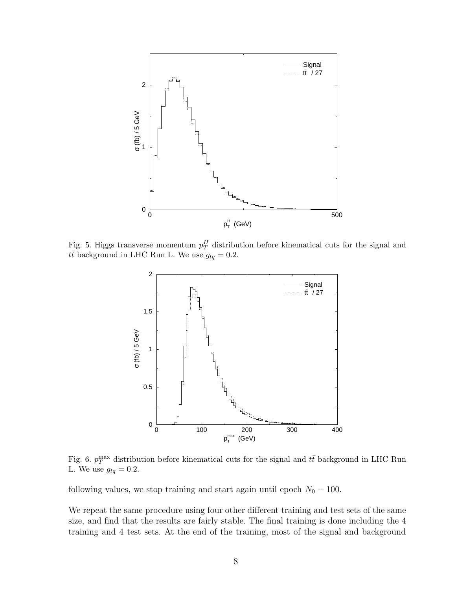

Fig. 5. Higgs transverse momentum  $p_T^H$  distribution before kinematical cuts for the signal and  $t\bar{t}$  background in LHC Run L. We use  $g_{tq} = 0.2$ .



Fig. 6.  $p_T^{\text{max}}$  distribution before kinematical cuts for the signal and  $t\bar{t}$  background in LHC Run L. We use  $g_{tq} = 0.2$ .

following values, we stop training and start again until epoch  $N_0 - 100$ .

We repeat the same procedure using four other different training and test sets of the same size, and find that the results are fairly stable. The final training is done including the 4 training and 4 test sets. At the end of the training, most of the signal and background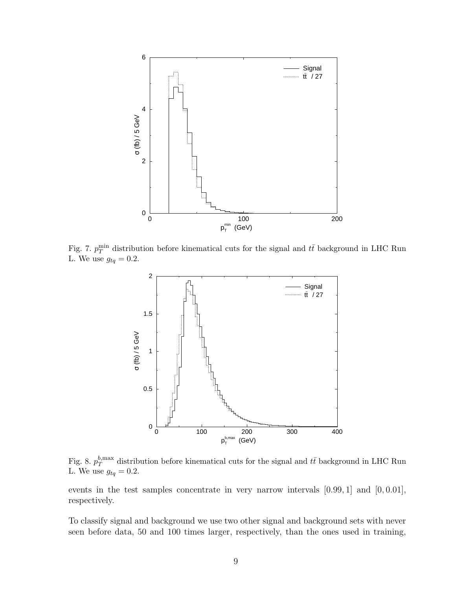

Fig. 7.  $p_T^{\min}$  distribution before kinematical cuts for the signal and  $t\bar{t}$  background in LHC Run L. We use  $g_{tq} = 0.2$ .



Fig. 8.  $p_T^{b,\text{max}}$  $t_T^{b,\max}$  distribution before kinematical cuts for the signal and  $t\bar{t}$  background in LHC Run L. We use  $g_{tq} = 0.2$ .

events in the test samples concentrate in very narrow intervals  $[0.99, 1]$  and  $[0, 0.01]$ , respectively.

To classify signal and background we use two other signal and background sets with never seen before data, 50 and 100 times larger, respectively, than the ones used in training,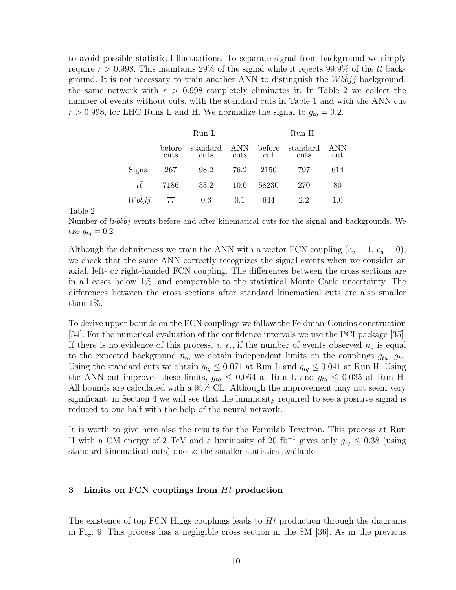to avoid possible statistical fluctuations. To separate signal from background we simply require  $r > 0.998$ . This maintains 29% of the signal while it rejects 99.9% of the  $t\bar{t}$  background. It is not necessary to train another ANN to distinguish the  $Wbbjj$  background, the same network with  $r > 0.998$  completely eliminates it. In Table 2 we collect the number of events without cuts, with the standard cuts in Table 1 and with the ANN cut  $r > 0.998$ , for LHC Runs L and H. We normalize the signal to  $g_{tq} = 0.2$ .

|        | Run L          |                  |             | Run H         |                  |            |  |
|--------|----------------|------------------|-------------|---------------|------------------|------------|--|
|        | before<br>cuts | standard<br>cuts | ANN<br>cuts | before<br>cut | standard<br>cuts | ANN<br>cut |  |
| Signal | 267            | 98.2             | 76.2        | 2150          | 797              | 614        |  |
| tt     | 7186           | 33.2             | 10.0        | 58230         | 270              | 80         |  |
| Wbbii  | 77             | 0.3              | 0.1         | 644           | 2.2              | 1.0        |  |

Table 2

Number of *lvbbbj* events before and after kinematical cuts for the signal and backgrounds. We use  $g_{tq} = 0.2$ .

Although for definiteness we train the ANN with a vector FCN coupling  $(c_v = 1, c_a = 0)$ , we check that the same ANN correctly recognizes the signal events when we consider an axial, left- or right-handed FCN coupling. The differences between the cross sections are in all cases below 1%, and comparable to the statistical Monte Carlo uncertainty. The differences between the cross sections after standard kinematical cuts are also smaller than 1%.

To derive upper bounds on the FCN couplings we follow the Feldman-Cousins construction [34]. For the numerical evaluation of the confidence intervals we use the PCI package [35]. If there is no evidence of this process, i. e., if the number of events observed  $n_0$  is equal to the expected background  $n_b$ , we obtain independent limits on the couplings  $g_{tu}$ ,  $g_{tc}$ . Using the standard cuts we obtain  $g_{tq} \leq 0.071$  at Run L and  $g_{tq} \leq 0.041$  at Run H. Using the ANN cut improves these limits,  $g_{tq} \leq 0.064$  at Run L and  $g_{tq} \leq 0.035$  at Run H. All bounds are calculated with a 95% CL. Although the improvement may not seem very significant, in Section 4 we will see that the luminosity required to see a positive signal is reduced to one half with the help of the neural network.

It is worth to give here also the results for the Fermilab Tevatron. This process at Run II with a CM energy of 2 TeV and a luminosity of 20 fb<sup>-1</sup> gives only  $g_{tq} \leq 0.38$  (using standard kinematical cuts) due to the smaller statistics available.

# 3 Limits on FCN couplings from  $Ht$  production

The existence of top FCN Higgs couplings leads to  $Ht$  production through the diagrams in Fig. 9. This process has a negligible cross section in the SM [36]. As in the previous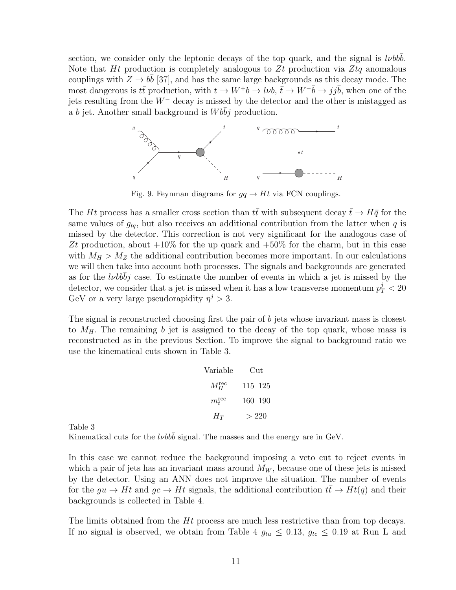section, we consider only the leptonic decays of the top quark, and the signal is  $l\nu bbb$ . Note that Ht production is completely analogous to  $Zt$  production via  $Ztq$  anomalous couplings with  $Z \to b\bar{b}$  [37], and has the same large backgrounds as this decay mode. The most dangerous is  $t\bar{t}$  production, with  $t \to W^+b \to l\nu b$ ,  $\bar{t} \to W^-\bar{b} \to j j\bar{b}$ , when one of the jets resulting from the W<sup>−</sup> decay is missed by the detector and the other is mistagged as a b jet. Another small background is  $Wbbj$  production.



Fig. 9. Feynman diagrams for  $qq \to Ht$  via FCN couplings.

The Ht process has a smaller cross section than  $t\bar{t}$  with subsequent decay  $\bar{t} \to H\bar{q}$  for the same values of  $g_{tq}$ , but also receives an additional contribution from the latter when q is missed by the detector. This correction is not very significant for the analogous case of Zt production, about  $+10\%$  for the up quark and  $+50\%$  for the charm, but in this case with  $M_H > M_Z$  the additional contribution becomes more important. In our calculations we will then take into account both processes. The signals and backgrounds are generated as for the *lvbbbj* case. To estimate the number of events in which a jet is missed by the detector, we consider that a jet is missed when it has a low transverse momentum  $p_T^j < 20$ GeV or a very large pseudorapidity  $\eta^j > 3$ .

The signal is reconstructed choosing first the pair of b jets whose invariant mass is closest to  $M_H$ . The remaining b jet is assigned to the decay of the top quark, whose mass is reconstructed as in the previous Section. To improve the signal to background ratio we use the kinematical cuts shown in Table 3.

| Variable        | Cut         |
|-----------------|-------------|
| $M_H^{\rm rec}$ | 115–125     |
| $m_t^{\rm rec}$ | $160 - 190$ |
| $H_T$           | >220        |

Table 3

Kinematical cuts for the *lvbbb* signal. The masses and the energy are in GeV.

In this case we cannot reduce the background imposing a veto cut to reject events in which a pair of jets has an invariant mass around  $M_W$ , because one of these jets is missed by the detector. Using an ANN does not improve the situation. The number of events for the  $gu \to Ht$  and  $gc \to Ht$  signals, the additional contribution  $t\bar{t} \to Ht(q)$  and their backgrounds is collected in Table 4.

The limits obtained from the Ht process are much less restrictive than from top decays. If no signal is observed, we obtain from Table 4  $g_{tu} \leq 0.13$ ,  $g_{tc} \leq 0.19$  at Run L and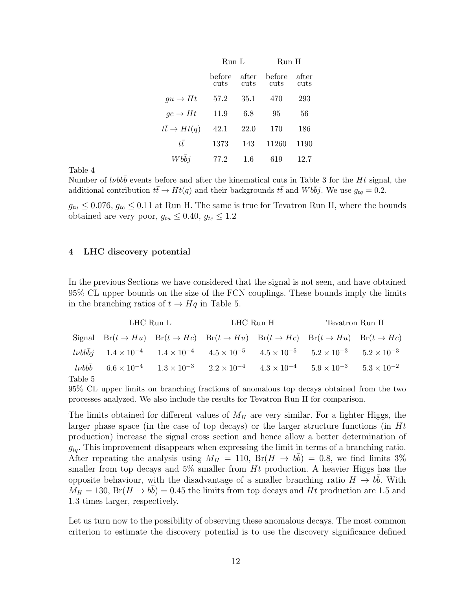|                        | Run L          |               | Run H          |               |  |
|------------------------|----------------|---------------|----------------|---------------|--|
|                        | before<br>cuts | after<br>cuts | before<br>cuts | after<br>cuts |  |
| $gu \to Ht$            | 57.2           | 35.1          | 470            | 293           |  |
| $gc \rightarrow Ht$    | 11.9           | 6.8           | 95             | 56            |  |
| $tt \rightarrow Ht(q)$ | 42.1           | 22.0          | 170            | 186           |  |
| $t\bar{t}$             | 1373           | 143           | 11260          | 1190          |  |
| Wbbi                   | 77 2           | 1.6           | 619            | 12.7          |  |

Table 4

Number of  $l\nu b b\bar{b}$  events before and after the kinematical cuts in Table 3 for the Ht signal, the additional contribution  $t\bar{t} \to Ht(q)$  and their backgrounds  $t\bar{t}$  and  $Wb\bar{b}j$ . We use  $g_{tq} = 0.2$ .

 $g_{tu} \leq 0.076$ ,  $g_{tc} \leq 0.11$  at Run H. The same is true for Tevatron Run II, where the bounds obtained are very poor,  $g_{tu} \leq 0.40$ ,  $g_{tc} \leq 1.2$ 

## 4 LHC discovery potential

In the previous Sections we have considered that the signal is not seen, and have obtained 95% CL upper bounds on the size of the FCN couplings. These bounds imply the limits in the branching ratios of  $t \rightarrow Hq$  in Table 5.

|         | $LHC$ Run $L$ |  |                                                                                                                                                     | LHC Run H | Tevatron Run II |  |  |
|---------|---------------|--|-----------------------------------------------------------------------------------------------------------------------------------------------------|-----------|-----------------|--|--|
|         |               |  | Signal $Br(t \to Hu)$ $Br(t \to He)$ $Br(t \to Hu)$ $Br(t \to He)$ $Br(t \to Hu)$ $Br(t \to Hu)$                                                    |           |                 |  |  |
|         |               |  | $2 \nu b b \bar{b} j$ $1.4 \times 10^{-4}$ $1.4 \times 10^{-4}$ $4.5 \times 10^{-5}$ $4.5 \times 10^{-5}$ $5.2 \times 10^{-3}$ $5.2 \times 10^{-3}$ |           |                 |  |  |
| Table 5 |               |  | $2.2 \times 10^{-4}$ $1.3 \times 10^{-3}$ $2.2 \times 10^{-4}$ $4.3 \times 10^{-4}$ $5.9 \times 10^{-3}$ $5.3 \times 10^{-2}$                       |           |                 |  |  |

95% CL upper limits on branching fractions of anomalous top decays obtained from the two processes analyzed. We also include the results for Tevatron Run II for comparison.

The limits obtained for different values of  $M_H$  are very similar. For a lighter Higgs, the larger phase space (in the case of top decays) or the larger structure functions (in  $Ht$ production) increase the signal cross section and hence allow a better determination of  $g_{tq}$ . This improvement disappears when expressing the limit in terms of a branching ratio. After repeating the analysis using  $M_H = 110$ ,  $Br(H \rightarrow b\bar{b}) = 0.8$ , we find limits 3% smaller from top decays and  $5\%$  smaller from Ht production. A heavier Higgs has the opposite behaviour, with the disadvantage of a smaller branching ratio  $H \to b\bar{b}$ . With  $M_H = 130$ ,  $Br(H \rightarrow b\bar{b}) = 0.45$  the limits from top decays and Ht production are 1.5 and 1.3 times larger, respectively.

Let us turn now to the possibility of observing these anomalous decays. The most common criterion to estimate the discovery potential is to use the discovery significance defined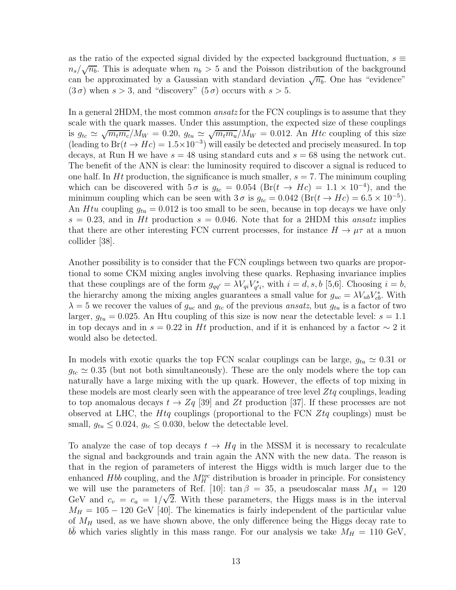as the ratio of the expected signal divided by the expected background fluctuation,  $s \equiv$  $n_s/\sqrt{n_b}$ . This is adequate when  $n_b > 5$  and the Poisson distribution of the background can be approximated by a Gaussian with standard deviation  $\sqrt{n_b}$ . One has "evidence"  $(3\sigma)$  when  $s > 3$ , and "discovery"  $(5\sigma)$  occurs with  $s > 5$ .

In a general 2HDM, the most common *ansatz* for the FCN couplings is to assume that they scale with the quark masses. Under this assumption, the expected size of these couplings is  $g_{tc} \simeq \sqrt{m_t m_c}/M_W = 0.20$ ,  $g_{tu} \simeq \sqrt{m_t m_u}/M_W = 0.012$ . An *Htc* coupling of this size (leading to  $Br(t \to Hc) = 1.5 \times 10^{-3}$ ) will easily be detected and precisely measured. In top decays, at Run H we have  $s = 48$  using standard cuts and  $s = 68$  using the network cut. The benefit of the ANN is clear: the luminosity required to discover a signal is reduced to one half. In Ht production, the significance is much smaller,  $s = 7$ . The minimum coupling which can be discovered with  $5\sigma$  is  $g_{tc} = 0.054$  (Br( $t \rightarrow Hc$ ) =  $1.1 \times 10^{-4}$ ), and the minimum coupling which can be seen with  $3\sigma$  is  $g_{tc} = 0.042 \left( \text{Br}(t \to Hc) = 6.5 \times 10^{-5} \right)$ . An Htu coupling  $g_{tu} = 0.012$  is too small to be seen, because in top decays we have only  $s = 0.23$ , and in Ht production  $s = 0.046$ . Note that for a 2HDM this ansatz implies that there are other interesting FCN current processes, for instance  $H \to \mu\tau$  at a muon collider [38].

Another possibility is to consider that the FCN couplings between two quarks are proportional to some CKM mixing angles involving these quarks. Rephasing invariance implies that these couplings are of the form  $g_{qq'} = \lambda V_{qi} V_{q'}^*$  $a_{q'i}^{*}$ , with  $i = d, s, b$  [5,6]. Choosing  $i = b$ , the hierarchy among the mixing angles guarantees a small value for  $g_{uc} = \lambda V_{ub} V_{cb}^*$ . With  $\lambda = 5$  we recover the values of  $g_{uc}$  and  $g_{tc}$  of the previous *ansatz*, but  $g_{tu}$  is a factor of two larger,  $g_{tu} = 0.025$ . An Htu coupling of this size is now near the detectable level:  $s = 1.1$ in top decays and in  $s = 0.22$  in Ht production, and if it is enhanced by a factor  $\sim 2$  it would also be detected.

In models with exotic quarks the top FCN scalar couplings can be large,  $g_{tu} \simeq 0.31$  or  $g_{tc} \simeq 0.35$  (but not both simultaneously). These are the only models where the top can naturally have a large mixing with the up quark. However, the effects of top mixing in these models are most clearly seen with the appearance of tree level  $Z_t$  couplings, leading to top anomalous decays  $t \to Z_q$  [39] and Zt production [37]. If these processes are not observed at LHC, the  $Htq$  couplings (proportional to the FCN  $Ztq$  couplings) must be small,  $g_{tu} \leq 0.024$ ,  $g_{tc} \leq 0.030$ , below the detectable level.

To analyze the case of top decays  $t \to Hq$  in the MSSM it is necessary to recalculate the signal and backgrounds and train again the ANN with the new data. The reason is that in the region of parameters of interest the Higgs width is much larger due to the enhanced  $H_{bb}$  coupling, and the  $M_H^{\text{rec}}$  distribution is broader in principle. For consistency we will use the parameters of Ref. [10]:  $\tan \beta = 35$ , a pseudoscalar mass  $M_A = 120$ GeV and  $c_v = c_a = 1/\sqrt{2}$ . With these parameters, the Higgs mass is in the interval  $M_H = 105 - 120$  GeV [40]. The kinematics is fairly independent of the particular value of  $M_H$  used, as we have shown above, the only difference being the Higgs decay rate to  $b\bar{b}$  which varies slightly in this mass range. For our analysis we take  $M_H = 110 \text{ GeV}$ ,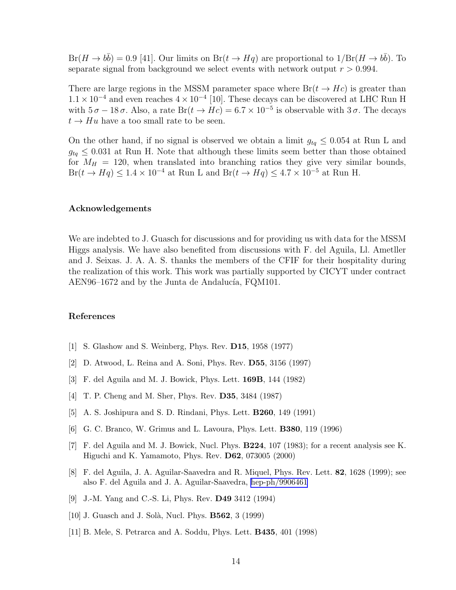$Br(H \to b\bar{b}) = 0.9$  [41]. Our limits on  $Br(t \to Hq)$  are proportional to  $1/Br(H \to b\bar{b})$ . To separate signal from background we select events with network output  $r > 0.994$ .

There are large regions in the MSSM parameter space where  $Br(t \rightarrow He)$  is greater than  $1.1 \times 10^{-4}$  and even reaches  $4 \times 10^{-4}$  [10]. These decays can be discovered at LHC Run H with  $5\sigma - 18\sigma$ . Also, a rate Br $(t \to Hc) = 6.7 \times 10^{-5}$  is observable with  $3\sigma$ . The decays  $t \rightarrow Hu$  have a too small rate to be seen.

On the other hand, if no signal is observed we obtain a limit  $g_{tq} \leq 0.054$  at Run L and  $g_{tq} \leq 0.031$  at Run H. Note that although these limits seem better than those obtained for  $M_H$  = 120, when translated into branching ratios they give very similar bounds,  $Br(t \to Hq) \leq 1.4 \times 10^{-4}$  at Run L and  $Br(t \to Hq) \leq 4.7 \times 10^{-5}$  at Run H.

## Acknowledgements

We are indebted to J. Guasch for discussions and for providing us with data for the MSSM Higgs analysis. We have also benefited from discussions with F. del Aguila, Ll. Ametller and J. Seixas. J. A. A. S. thanks the members of the CFIF for their hospitality during the realization of this work. This work was partially supported by CICYT under contract AEN96–1672 and by the Junta de Andalucía, FQM101.

#### References

- [1] S. Glashow and S. Weinberg, Phys. Rev. D15, 1958 (1977)
- [2] D. Atwood, L. Reina and A. Soni, Phys. Rev. D55, 3156 (1997)
- [3] F. del Aguila and M. J. Bowick, Phys. Lett. 169B, 144 (1982)
- [4] T. P. Cheng and M. Sher, Phys. Rev. D35, 3484 (1987)
- [5] A. S. Joshipura and S. D. Rindani, Phys. Lett. B260, 149 (1991)
- [6] G. C. Branco, W. Grimus and L. Lavoura, Phys. Lett. B380, 119 (1996)
- [7] F. del Aguila and M. J. Bowick, Nucl. Phys. B224, 107 (1983); for a recent analysis see K. Higuchi and K. Yamamoto, Phys. Rev. D62, 073005 (2000)
- [8] F. del Aguila, J. A. Aguilar-Saavedra and R. Miquel, Phys. Rev. Lett. 82, 1628 (1999); see also F. del Aguila and J. A. Aguilar-Saavedra, [hep-ph/9906461](http://arxiv.org/abs/hep-ph/9906461)
- [9] J.-M. Yang and C.-S. Li, Phys. Rev. D49 3412 (1994)
- [10] J. Guasch and J. Solà, Nucl. Phys. **B562**, 3 (1999)
- [11] B. Mele, S. Petrarca and A. Soddu, Phys. Lett. B435, 401 (1998)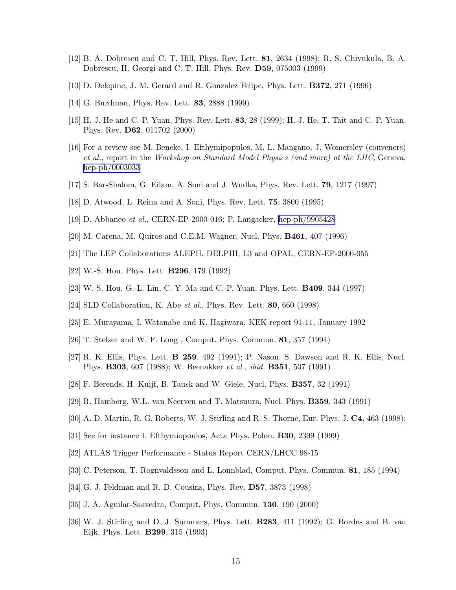- [12] B. A. Dobrescu and C. T. Hill, Phys. Rev. Lett. 81, 2634 (1998); R. S. Chivukula, B. A. Dobrescu, H. Georgi and C. T. Hill, Phys. Rev. D59, 075003 (1999)
- [13] D. Delepine, J. M. Gerard and R. Gonzalez Felipe, Phys. Lett. B372, 271 (1996)
- [14] G. Burdman, Phys. Rev. Lett. 83, 2888 (1999)
- [15] H.-J. He and C.-P. Yuan, Phys. Rev. Lett. 83, 28 (1999); H.-J. He, T. Tait and C.-P. Yuan, Phys. Rev. D62, 011702 (2000)
- [16] For a review see M. Beneke, I. Efthymipopulos, M. L. Mangano, J. Womersley (conveners) et al., report in the Workshop on Standard Model Physics (and more) at the LHC, Geneva, [hep-ph/0003033](http://arxiv.org/abs/hep-ph/0003033)
- [17] S. Bar-Shalom, G. Eilam, A. Soni and J. Wudka, Phys. Rev. Lett. 79, 1217 (1997)
- [18] D. Atwood, L. Reina and A. Soni, Phys. Rev. Lett. 75, 3800 (1995)
- [19] D. Abbaneo et al., CERN-EP-2000-016; P. Langacker, [hep-ph/9905428](http://arxiv.org/abs/hep-ph/9905428)
- [20] M. Carena, M. Quiros and C.E.M. Wagner, Nucl. Phys. B461, 407 (1996)
- [21] The LEP Collaborations ALEPH, DELPHI, L3 and OPAL, CERN-EP-2000-055
- [22] W.-S. Hou, Phys. Lett. B296, 179 (1992)
- [23] W.-S. Hou, G.-L. Lin, C.-Y. Ma and C.-P. Yuan, Phys. Lett. B409, 344 (1997)
- [24] SLD Collaboration, K. Abe et al., Phys. Rev. Lett. 80, 660 (1998)
- [25] E. Murayama, I. Watanabe and K. Hagiwara, KEK report 91-11, January 1992
- [26] T. Stelzer and W. F. Long , Comput. Phys. Commun. 81, 357 (1994)
- [27] R. K. Ellis, Phys. Lett. B 259, 492 (1991); P. Nason, S. Dawson and R. K. Ellis, Nucl. Phys. **B303**, 607 (1988); W. Beenakker *et al., ibid.* **B351**, 507 (1991)
- [28] F. Berends, H. Kuijf, B. Tausk and W. Giele, Nucl. Phys. B357, 32 (1991)
- [29] R. Hamberg, W.L. van Neerven and T. Matsuura, Nucl. Phys. B359, 343 (1991)
- [30] A. D. Martin, R. G. Roberts, W. J. Stirling and R. S. Thorne, Eur. Phys. J. C4, 463 (1998);
- [31] See for instance I. Efthymiopoulos, Acta Phys. Polon. B30, 2309 (1999)
- [32] ATLAS Trigger Performance Status Report CERN/LHCC 98-15
- [33] C. Peterson, T. Rognvaldsson and L. Lonnblad, Comput. Phys. Commun. 81, 185 (1994)
- [34] G. J. Feldman and R. D. Cousins, Phys. Rev. D57, 3873 (1998)
- [35] J. A. Aguilar-Saavedra, Comput. Phys. Commun. 130, 190 (2000)
- [36] W. J. Stirling and D. J. Summers, Phys. Lett. B283, 411 (1992); G. Bordes and B. van Eijk, Phys. Lett. B299, 315 (1993)